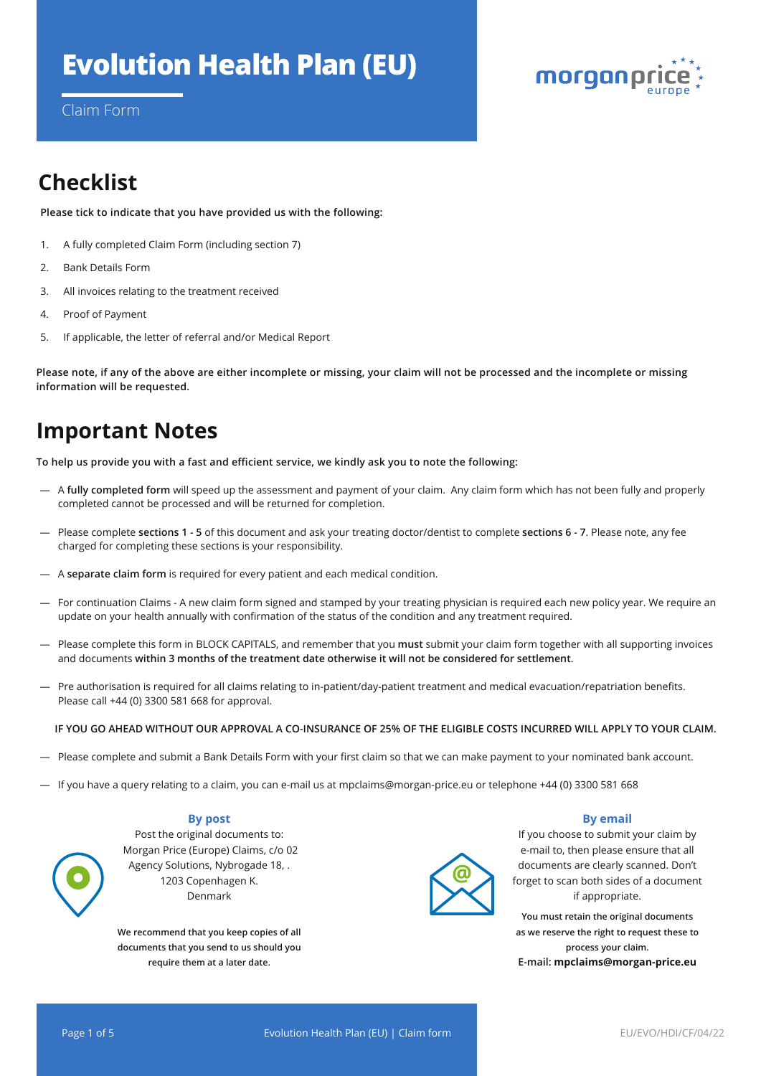# **Evolution Health Plan (EU)**



Claim Form

# **Checklist**

**Please tick to indicate that you have provided us with the following:** 

- 1. A fully completed Claim Form (including section 7)
- 2. Bank Details Form
- 3. All invoices relating to the treatment received
- 4. Proof of Payment
- 5. If applicable, the letter of referral and/or Medical Report

**Please note, if any of the above are either incomplete or missing, your claim will not be processed and the incomplete or missing information will be requested.**

# **Important Notes**

**To help us provide you with a fast and efficient service, we kindly ask you to note the following:**

- A **fully completed form** will speed up the assessment and payment of your claim. Any claim form which has not been fully and properly completed cannot be processed and will be returned for completion.
- Please complete **sections 1 5** of this document and ask your treating doctor/dentist to complete **sections 6 7**. Please note, any fee charged for completing these sections is your responsibility.
- A **separate claim form** is required for every patient and each medical condition.
- For continuation Claims A new claim form signed and stamped by your treating physician is required each new policy year. We require an update on your health annually with confirmation of the status of the condition and any treatment required.
- Please complete this form in BLOCK CAPITALS, and remember that you **must** submit your claim form together with all supporting invoices and documents **within 3 months of the treatment date otherwise it will not be considered for settlement**.
- Pre authorisation is required for all claims relating to in-patient/day-patient treatment and medical evacuation/repatriation benefits. Please call +44 (0) 3300 581 668 for approval.

#### **IF YOU GO AHEAD WITHOUT OUR APPROVAL A CO-INSURANCE OF 25% OF THE ELIGIBLE COSTS INCURRED WILL APPLY TO YOUR CLAIM.**

- Please complete and submit a Bank Details Form with your first claim so that we can make payment to your nominated bank account.
- If you have a query relating to a claim, you can e-mail us at mpclaims@morgan-price.eu or telephone +44 (0) 3300 581 668

## **By post**

Post the original documents to: Morgan Price (Europe) Claims, c/o 02 Agency Solutions, Nybrogade 18, . 1203 Copenhagen K. Denmark

**We recommend that you keep copies of all documents that you send to us should you require them at a later date.**



## **By email**

If you choose to submit your claim by e-mail to, then please ensure that all documents are clearly scanned. Don't forget to scan both sides of a document if appropriate.

**You must retain the original documents as we reserve the right to request these to process your claim. E-mail: mpclaims@morgan-price.eu**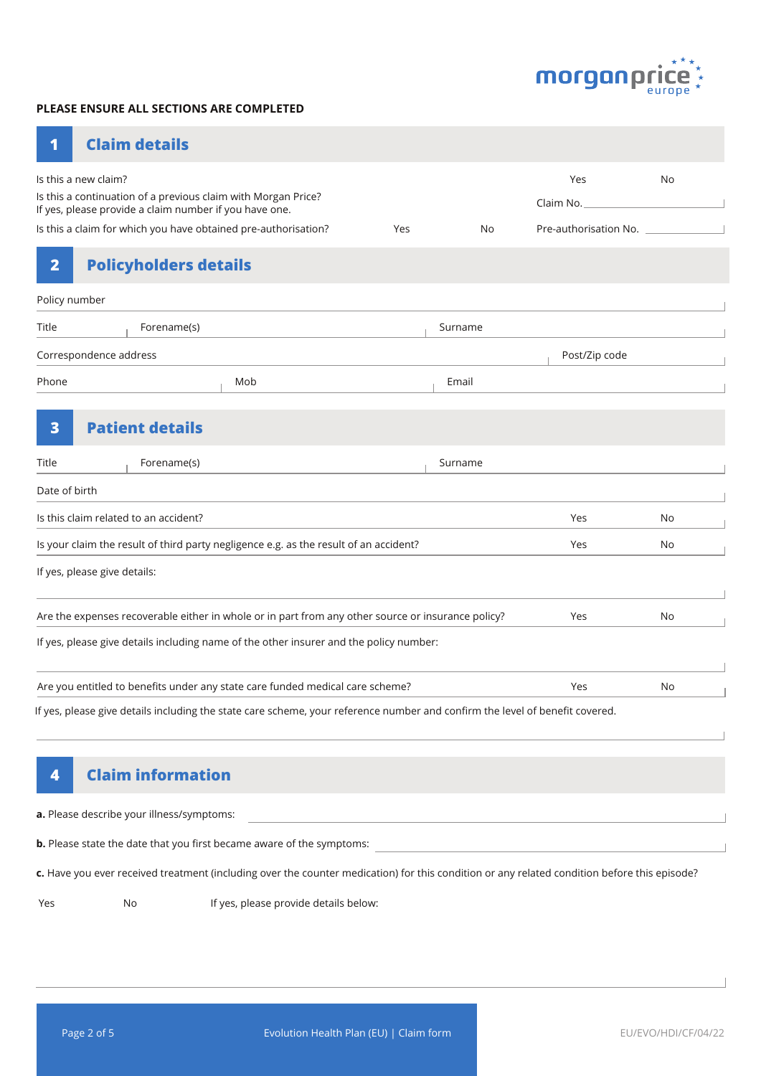

## **PLEASE ENSURE ALL SECTIONS ARE COMPLETED**

| -1 |  | <b>Claim details</b> |  |  |
|----|--|----------------------|--|--|
|    |  |                      |  |  |

| Is this a new claim?                                                                                                         |     |         | Yes                   | <b>No</b> |
|------------------------------------------------------------------------------------------------------------------------------|-----|---------|-----------------------|-----------|
| Is this a continuation of a previous claim with Morgan Price?<br>If yes, please provide a claim number if you have one.      |     |         | Claim No.             |           |
| Is this a claim for which you have obtained pre-authorisation?                                                               | Yes | No      | Pre-authorisation No. |           |
| $\overline{\mathbf{2}}$<br><b>Policyholders details</b>                                                                      |     |         |                       |           |
| Policy number                                                                                                                |     |         |                       |           |
| Title<br>Forename(s)                                                                                                         |     | Surname |                       |           |
| Correspondence address                                                                                                       |     |         | Post/Zip code         |           |
| Phone<br>Mob                                                                                                                 |     | Email   |                       |           |
| <b>Patient details</b><br>$\overline{\mathbf{3}}$                                                                            |     |         |                       |           |
| Forename(s)<br>Title                                                                                                         |     | Surname |                       |           |
| Date of birth                                                                                                                |     |         |                       |           |
| Is this claim related to an accident?                                                                                        |     |         | Yes                   | No        |
| Is your claim the result of third party negligence e.g. as the result of an accident?                                        | Yes | No      |                       |           |
| If yes, please give details:                                                                                                 |     |         |                       |           |
| Are the expenses recoverable either in whole or in part from any other source or insurance policy?                           | Yes | No      |                       |           |
| If yes, please give details including name of the other insurer and the policy number:                                       |     |         |                       |           |
| Are you entitled to benefits under any state care funded medical care scheme?                                                |     |         | Yes                   | <b>No</b> |
| If yes, please give details including the state care scheme, your reference number and confirm the level of benefit covered. |     |         |                       |           |
|                                                                                                                              |     |         |                       |           |

# **4 Claim information**

| <b>a.</b> Please describe your illness/symptoms: |  |
|--------------------------------------------------|--|
|                                                  |  |

**b.** Please state the date that you first became aware of the symptoms:

**c.** Have you ever received treatment (including over the counter medication) for this condition or any related condition before this episode?

Yes No If yes, please provide details below: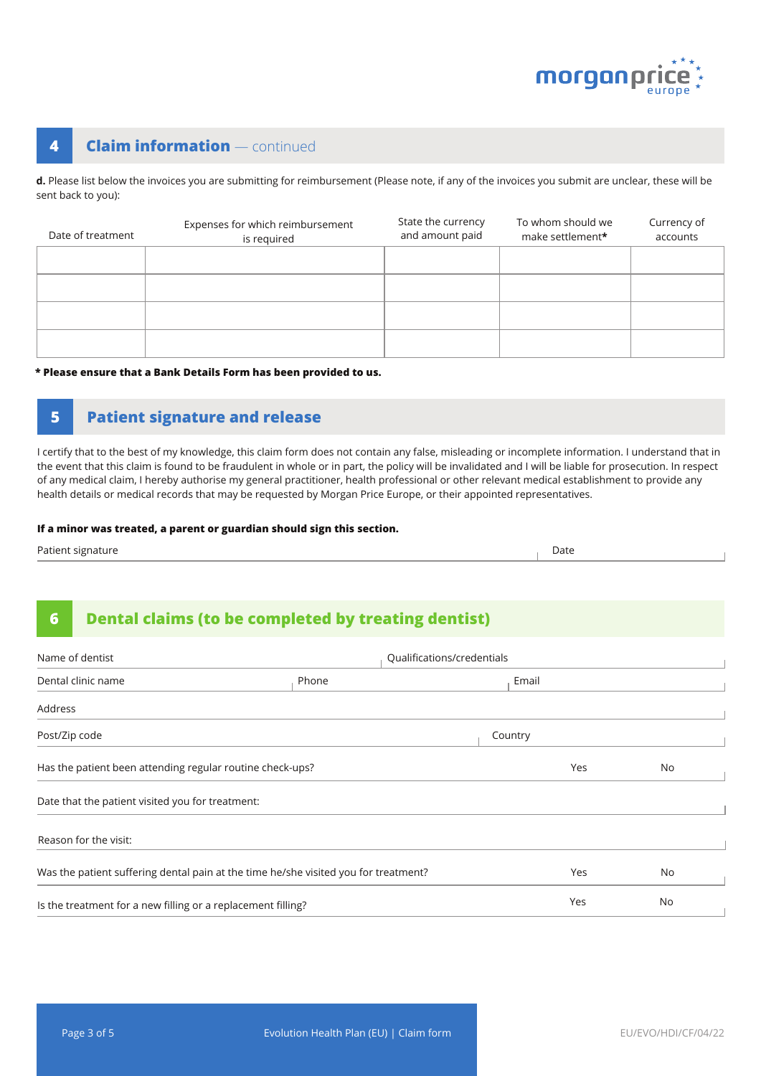

# **4 Claim information** — continued

**d.** Please list below the invoices you are submitting for reimbursement (Please note, if any of the invoices you submit are unclear, these will be sent back to you):

| Date of treatment | Expenses for which reimbursement<br>is required | State the currency<br>and amount paid | To whom should we<br>make settlement* | Currency of<br>accounts |
|-------------------|-------------------------------------------------|---------------------------------------|---------------------------------------|-------------------------|
|                   |                                                 |                                       |                                       |                         |
|                   |                                                 |                                       |                                       |                         |
|                   |                                                 |                                       |                                       |                         |
|                   |                                                 |                                       |                                       |                         |

### **\* Please ensure that a Bank Details Form has been provided to us.**

# **5 Patient signature and release**

I certify that to the best of my knowledge, this claim form does not contain any false, misleading or incomplete information. I understand that in the event that this claim is found to be fraudulent in whole or in part, the policy will be invalidated and I will be liable for prosecution. In respect of any medical claim, I hereby authorise my general practitioner, health professional or other relevant medical establishment to provide any health details or medical records that may be requested by Morgan Price Europe, or their appointed representatives.

#### **If a minor was treated, a parent or guardian should sign this section.**

| Patient signature | Date |
|-------------------|------|
|-------------------|------|

## **6 Dental claims (to be completed by treating dentist)**

| Name of dentist                                                                     | Qualifications/credentials |  |         |     |    |
|-------------------------------------------------------------------------------------|----------------------------|--|---------|-----|----|
| Dental clinic name                                                                  | Phone                      |  | Email   |     |    |
| Address                                                                             |                            |  |         |     |    |
| Post/Zip code                                                                       |                            |  | Country |     |    |
| Has the patient been attending regular routine check-ups?                           |                            |  | Yes     | No  |    |
| Date that the patient visited you for treatment:                                    |                            |  |         |     |    |
| Reason for the visit:                                                               |                            |  |         |     |    |
| Was the patient suffering dental pain at the time he/she visited you for treatment? |                            |  |         | Yes | No |
| Is the treatment for a new filling or a replacement filling?                        |                            |  |         | Yes | No |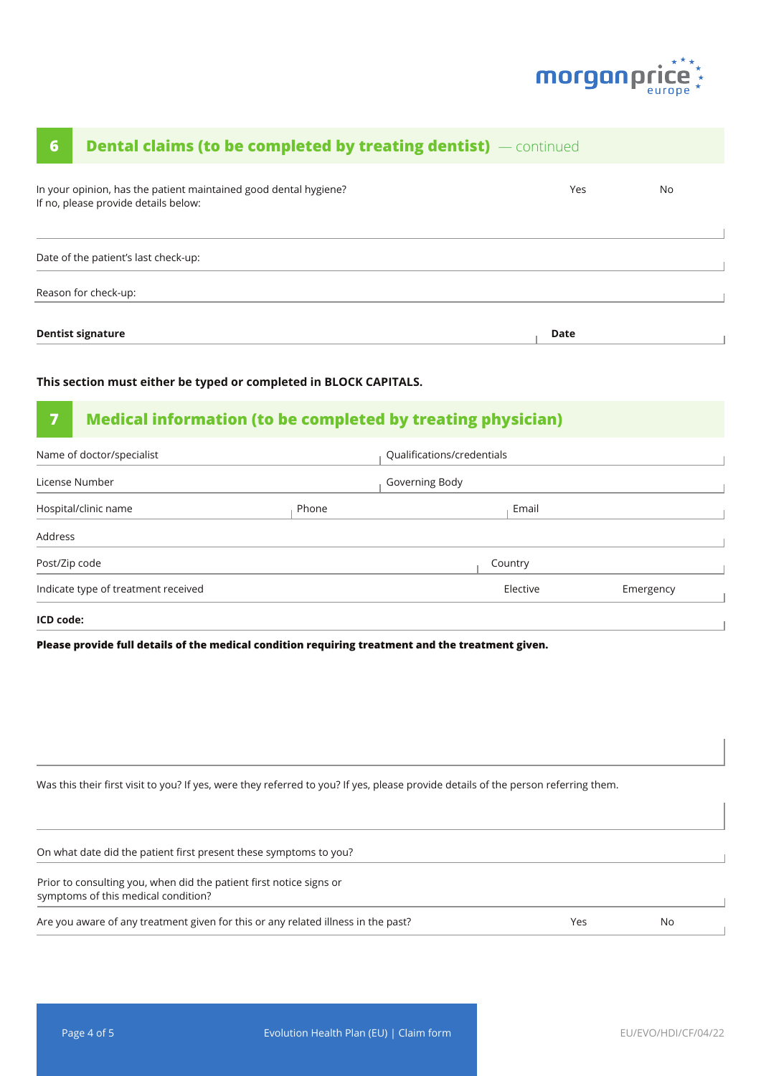

# In your opinion, has the patient maintained good dental hygiene? If no, please provide details below: Yes No Date of the patient's last check-up: **Dentist signature Date 6 Dental claims (to be completed by treating dentist)** — continued Reason for check-up:

## **This section must either be typed or completed in BLOCK CAPITALS.**

# **7 Medical information (to be completed by treating physician)**

| Name of doctor/specialist           |       | Qualifications/credentials |          |           |  |
|-------------------------------------|-------|----------------------------|----------|-----------|--|
| License Number                      |       | Governing Body             |          |           |  |
| Hospital/clinic name                | Phone |                            | Email    |           |  |
| Address                             |       |                            |          |           |  |
| Post/Zip code                       |       |                            | Country  |           |  |
| Indicate type of treatment received |       |                            | Elective | Emergency |  |
|                                     |       |                            |          |           |  |

#### **ICD code:**

**Please provide full details of the medical condition requiring treatment and the treatment given.**

Was this their first visit to you? If yes, were they referred to you? If yes, please provide details of the person referring them.

| On what date did the patient first present these symptoms to you?                                          |     |    |  |
|------------------------------------------------------------------------------------------------------------|-----|----|--|
| Prior to consulting you, when did the patient first notice signs or<br>symptoms of this medical condition? |     |    |  |
| Are you aware of any treatment given for this or any related illness in the past?                          | Yes | No |  |